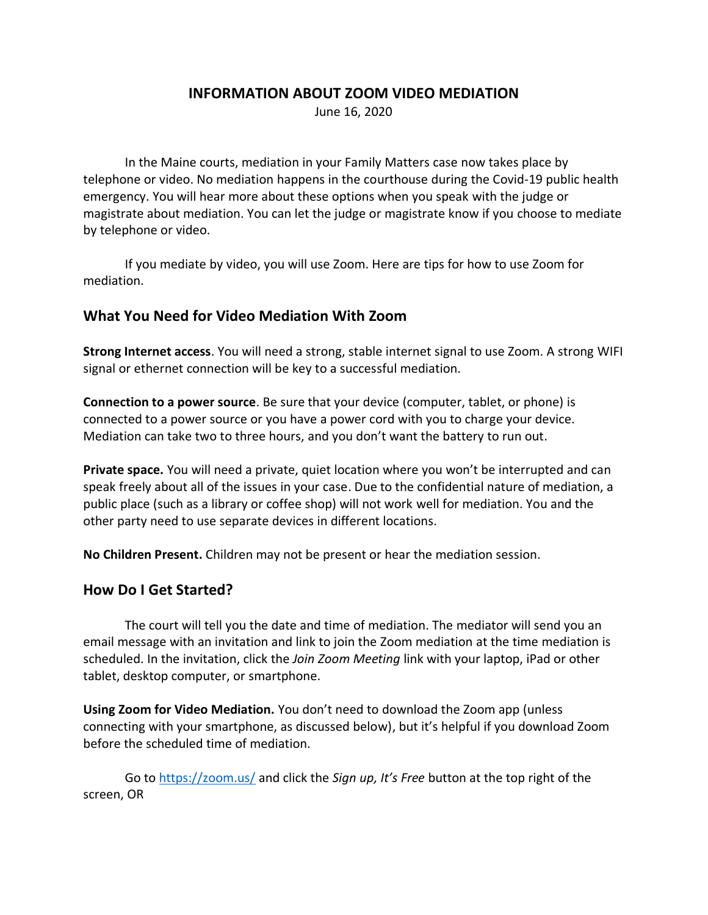#### **INFORMATION ABOUT ZOOM VIDEO MEDIATION**

June 16, 2020

In the Maine courts, mediation in your Family Matters case now takes place by telephone or video. No mediation happens in the courthouse during the Covid-19 public health emergency. You will hear more about these options when you speak with the judge or magistrate about mediation. You can let the judge or magistrate know if you choose to mediate by telephone or video.

If you mediate by video, you will use Zoom. Here are tips for how to use Zoom for mediation.

### **What You Need for Video Mediation With Zoom**

**Strong Internet access**. You will need a strong, stable internet signal to use Zoom. A strong WIFI signal or ethernet connection will be key to a successful mediation.

**Connection to a power source**. Be sure that your device (computer, tablet, or phone) is connected to a power source or you have a power cord with you to charge your device. Mediation can take two to three hours, and you don't want the battery to run out.

**Private space.** You will need a private, quiet location where you won't be interrupted and can speak freely about all of the issues in your case. Due to the confidential nature of mediation, a public place (such as a library or coffee shop) will not work well for mediation. You and the other party need to use separate devices in different locations.

**No Children Present.** Children may not be present or hear the mediation session.

#### **How Do I Get Started?**

The court will tell you the date and time of mediation. The mediator will send you an email message with an invitation and link to join the Zoom mediation at the time mediation is scheduled. In the invitation, click the *Join Zoom Meeting* link with your laptop, iPad or other tablet, desktop computer, or smartphone.

**Using Zoom for Video Mediation.** You don't need to download the Zoom app (unless connecting with your smartphone, as discussed below), but it's helpful if you download Zoom before the scheduled time of mediation.

Go to<https://zoom.us/> and click the *Sign up, It's Free* button at the top right of the screen, OR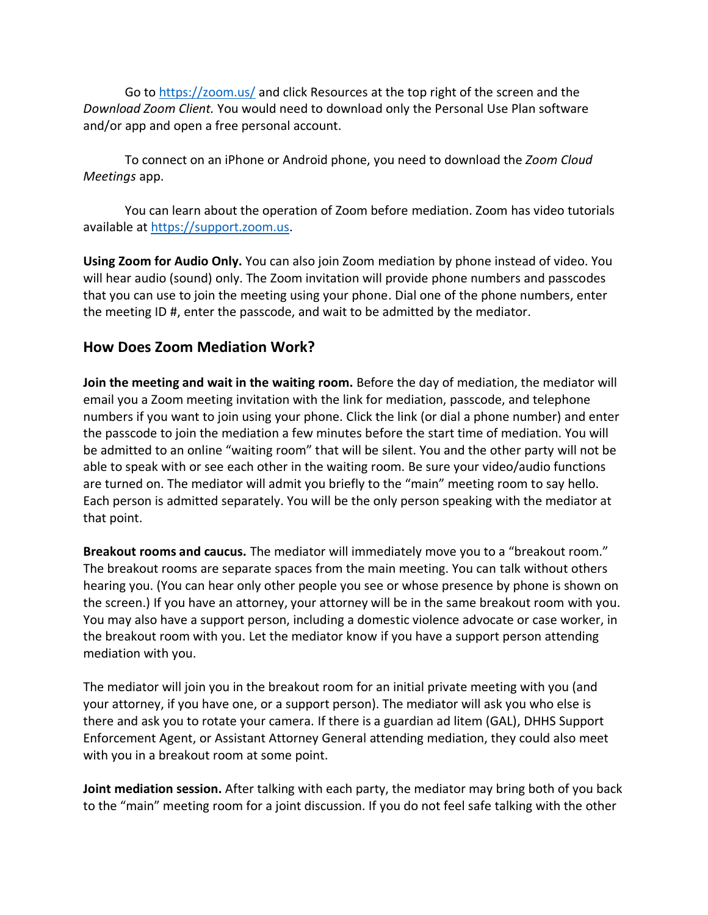Go to<https://zoom.us/> and click Resources at the top right of the screen and the *Download Zoom Client.* You would need to download only the Personal Use Plan software and/or app and open a free personal account.

To connect on an iPhone or Android phone, you need to download the *Zoom Cloud Meetings* app.

You can learn about the operation of Zoom before mediation. Zoom has video tutorials available at [https://support.zoom.us.](https://support.zoom.us/)

**Using Zoom for Audio Only.** You can also join Zoom mediation by phone instead of video. You will hear audio (sound) only. The Zoom invitation will provide phone numbers and passcodes that you can use to join the meeting using your phone. Dial one of the phone numbers, enter the meeting ID #, enter the passcode, and wait to be admitted by the mediator.

### **How Does Zoom Mediation Work?**

**Join the meeting and wait in the waiting room.** Before the day of mediation, the mediator will email you a Zoom meeting invitation with the link for mediation, passcode, and telephone numbers if you want to join using your phone. Click the link (or dial a phone number) and enter the passcode to join the mediation a few minutes before the start time of mediation. You will be admitted to an online "waiting room" that will be silent. You and the other party will not be able to speak with or see each other in the waiting room. Be sure your video/audio functions are turned on. The mediator will admit you briefly to the "main" meeting room to say hello. Each person is admitted separately. You will be the only person speaking with the mediator at that point.

**Breakout rooms and caucus.** The mediator will immediately move you to a "breakout room." The breakout rooms are separate spaces from the main meeting. You can talk without others hearing you. (You can hear only other people you see or whose presence by phone is shown on the screen.) If you have an attorney, your attorney will be in the same breakout room with you. You may also have a support person, including a domestic violence advocate or case worker, in the breakout room with you. Let the mediator know if you have a support person attending mediation with you.

The mediator will join you in the breakout room for an initial private meeting with you (and your attorney, if you have one, or a support person). The mediator will ask you who else is there and ask you to rotate your camera. If there is a guardian ad litem (GAL), DHHS Support Enforcement Agent, or Assistant Attorney General attending mediation, they could also meet with you in a breakout room at some point.

**Joint mediation session.** After talking with each party, the mediator may bring both of you back to the "main" meeting room for a joint discussion. If you do not feel safe talking with the other